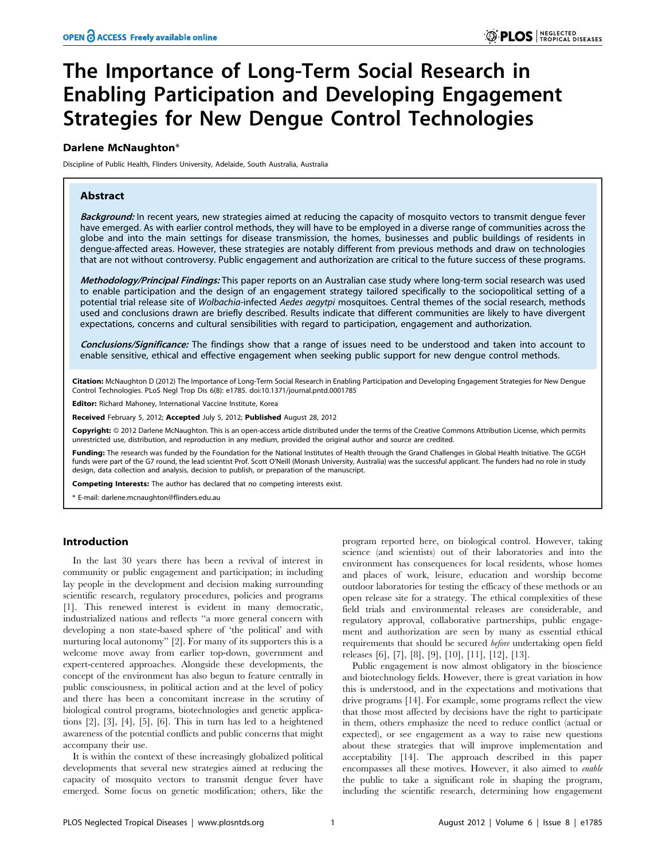# The Importance of Long-Term Social Research in Enabling Participation and Developing Engagement Strategies for New Dengue Control Technologies

# Darlene McNaughton\*

Discipline of Public Health, Flinders University, Adelaide, South Australia, Australia

# Abstract

Background: In recent years, new strategies aimed at reducing the capacity of mosquito vectors to transmit dengue fever have emerged. As with earlier control methods, they will have to be employed in a diverse range of communities across the globe and into the main settings for disease transmission, the homes, businesses and public buildings of residents in dengue-affected areas. However, these strategies are notably different from previous methods and draw on technologies that are not without controversy. Public engagement and authorization are critical to the future success of these programs.

Methodology/Principal Findings: This paper reports on an Australian case study where long-term social research was used to enable participation and the design of an engagement strategy tailored specifically to the sociopolitical setting of a potential trial release site of Wolbachia-infected Aedes aegytpi mosquitoes. Central themes of the social research, methods used and conclusions drawn are briefly described. Results indicate that different communities are likely to have divergent expectations, concerns and cultural sensibilities with regard to participation, engagement and authorization.

Conclusions/Significance: The findings show that a range of issues need to be understood and taken into account to enable sensitive, ethical and effective engagement when seeking public support for new dengue control methods.

Citation: McNaughton D (2012) The Importance of Long-Term Social Research in Enabling Participation and Developing Engagement Strategies for New Dengue Control Technologies. PLoS Negl Trop Dis 6(8): e1785. doi:10.1371/journal.pntd.0001785

Editor: Richard Mahoney, International Vaccine Institute, Korea

Received February 5, 2012; Accepted July 5, 2012; Published August 28, 2012

**Copyright:** © 2012 Darlene McNaughton. This is an open-access article distributed under the terms of the Creative Commons Attribution License, which permits unrestricted use, distribution, and reproduction in any medium, provided the original author and source are credited.

Funding: The research was funded by the Foundation for the National Institutes of Health through the Grand Challenges in Global Health Initiative. The GCGH funds were part of the G7 round, the lead scientist Prof. Scott O'Neill (Monash University, Australia) was the successful applicant. The funders had no role in study design, data collection and analysis, decision to publish, or preparation of the manuscript.

Competing Interests: The author has declared that no competing interests exist.

\* E-mail: darlene.mcnaughton@flinders.edu.au

## Introduction

In the last 30 years there has been a revival of interest in community or public engagement and participation; in including lay people in the development and decision making surrounding scientific research, regulatory procedures, policies and programs [1]. This renewed interest is evident in many democratic, industrialized nations and reflects ''a more general concern with developing a non state-based sphere of 'the political' and with nurturing local autonomy'' [2]. For many of its supporters this is a welcome move away from earlier top-down, government and expert-centered approaches. Alongside these developments, the concept of the environment has also begun to feature centrally in public consciousness, in political action and at the level of policy and there has been a concomitant increase in the scrutiny of biological control programs, biotechnologies and genetic applications [2], [3], [4], [5], [6]. This in turn has led to a heightened awareness of the potential conflicts and public concerns that might accompany their use.

It is within the context of these increasingly globalized political developments that several new strategies aimed at reducing the capacity of mosquito vectors to transmit dengue fever have emerged. Some focus on genetic modification; others, like the

program reported here, on biological control. However, taking science (and scientists) out of their laboratories and into the environment has consequences for local residents, whose homes and places of work, leisure, education and worship become outdoor laboratories for testing the efficacy of these methods or an open release site for a strategy. The ethical complexities of these field trials and environmental releases are considerable, and regulatory approval, collaborative partnerships, public engagement and authorization are seen by many as essential ethical requirements that should be secured before undertaking open field releases [6], [7], [8], [9], [10], [11], [12], [13].

Public engagement is now almost obligatory in the bioscience and biotechnology fields. However, there is great variation in how this is understood, and in the expectations and motivations that drive programs [14]. For example, some programs reflect the view that those most affected by decisions have the right to participate in them, others emphasize the need to reduce conflict (actual or expected), or see engagement as a way to raise new questions about these strategies that will improve implementation and acceptability [14]. The approach described in this paper encompasses all these motives. However, it also aimed to enable the public to take a significant role in shaping the program, including the scientific research, determining how engagement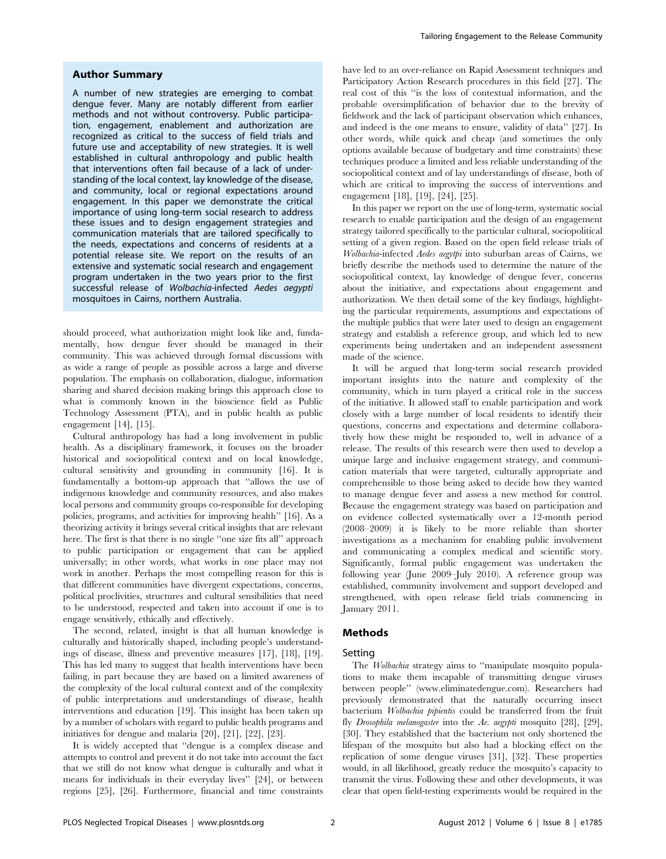#### Author Summary

A number of new strategies are emerging to combat dengue fever. Many are notably different from earlier methods and not without controversy. Public participation, engagement, enablement and authorization are recognized as critical to the success of field trials and future use and acceptability of new strategies. It is well established in cultural anthropology and public health that interventions often fail because of a lack of understanding of the local context, lay knowledge of the disease, and community, local or regional expectations around engagement. In this paper we demonstrate the critical importance of using long-term social research to address these issues and to design engagement strategies and communication materials that are tailored specifically to the needs, expectations and concerns of residents at a potential release site. We report on the results of an extensive and systematic social research and engagement program undertaken in the two years prior to the first successful release of Wolbachia-infected Aedes aegypti mosquitoes in Cairns, northern Australia.

should proceed, what authorization might look like and, fundamentally, how dengue fever should be managed in their community. This was achieved through formal discussions with as wide a range of people as possible across a large and diverse population. The emphasis on collaboration, dialogue, information sharing and shared decision making brings this approach close to what is commonly known in the bioscience field as Public Technology Assessment (PTA), and in public health as public engagement [14], [15].

Cultural anthropology has had a long involvement in public health. As a disciplinary framework, it focuses on the broader historical and sociopolitical context and on local knowledge, cultural sensitivity and grounding in community [16]. It is fundamentally a bottom-up approach that ''allows the use of indigenous knowledge and community resources, and also makes local persons and community groups co-responsible for developing policies, programs, and activities for improving health'' [16]. As a theorizing activity it brings several critical insights that are relevant here. The first is that there is no single ''one size fits all'' approach to public participation or engagement that can be applied universally; in other words, what works in one place may not work in another. Perhaps the most compelling reason for this is that different communities have divergent expectations, concerns, political proclivities, structures and cultural sensibilities that need to be understood, respected and taken into account if one is to engage sensitively, ethically and effectively.

The second, related, insight is that all human knowledge is culturally and historically shaped, including people's understandings of disease, illness and preventive measures [17], [18], [19]. This has led many to suggest that health interventions have been failing, in part because they are based on a limited awareness of the complexity of the local cultural context and of the complexity of public interpretations and understandings of disease, health interventions and education [19]. This insight has been taken up by a number of scholars with regard to public health programs and initiatives for dengue and malaria [20], [21], [22], [23].

It is widely accepted that ''dengue is a complex disease and attempts to control and prevent it do not take into account the fact that we still do not know what dengue is culturally and what it means for individuals in their everyday lives'' [24], or between regions [25], [26]. Furthermore, financial and time constraints have led to an over-reliance on Rapid Assessment techniques and Participatory Action Research procedures in this field [27]. The real cost of this ''is the loss of contextual information, and the probable oversimplification of behavior due to the brevity of fieldwork and the lack of participant observation which enhances, and indeed is the one means to ensure, validity of data'' [27]. In other words, while quick and cheap (and sometimes the only options available because of budgetary and time constraints) these techniques produce a limited and less reliable understanding of the sociopolitical context and of lay understandings of disease, both of which are critical to improving the success of interventions and engagement [18], [19], [24], [25].

In this paper we report on the use of long-term, systematic social research to enable participation and the design of an engagement strategy tailored specifically to the particular cultural, sociopolitical setting of a given region. Based on the open field release trials of Wolbachia-infected Aedes aegytpi into suburban areas of Cairns, we briefly describe the methods used to determine the nature of the sociopolitical context, lay knowledge of dengue fever, concerns about the initiative, and expectations about engagement and authorization. We then detail some of the key findings, highlighting the particular requirements, assumptions and expectations of the multiple publics that were later used to design an engagement strategy and establish a reference group, and which led to new experiments being undertaken and an independent assessment made of the science.

It will be argued that long-term social research provided important insights into the nature and complexity of the community, which in turn played a critical role in the success of the initiative. It allowed staff to enable participation and work closely with a large number of local residents to identify their questions, concerns and expectations and determine collaboratively how these might be responded to, well in advance of a release. The results of this research were then used to develop a unique large and inclusive engagement strategy, and communication materials that were targeted, culturally appropriate and comprehensible to those being asked to decide how they wanted to manage dengue fever and assess a new method for control. Because the engagement strategy was based on participation and on evidence collected systematically over a 12-month period (2008–2009) it is likely to be more reliable than shorter investigations as a mechanism for enabling public involvement and communicating a complex medical and scientific story. Significantly, formal public engagement was undertaken the following year (June 2009–July 2010). A reference group was established, community involvement and support developed and strengthened, with open release field trials commencing in January 2011.

## Methods

#### Setting

The Wolbachia strategy aims to ''manipulate mosquito populations to make them incapable of transmitting dengue viruses between people'' (www.eliminatedengue.com). Researchers had previously demonstrated that the naturally occurring insect bacterium Wolbachia pipientis could be transferred from the fruit fly Drosophila melanogaster into the Ae. aegypti mosquito [28], [29], [30]. They established that the bacterium not only shortened the lifespan of the mosquito but also had a blocking effect on the replication of some dengue viruses [31], [32]. These properties would, in all likelihood, greatly reduce the mosquito's capacity to transmit the virus. Following these and other developments, it was clear that open field-testing experiments would be required in the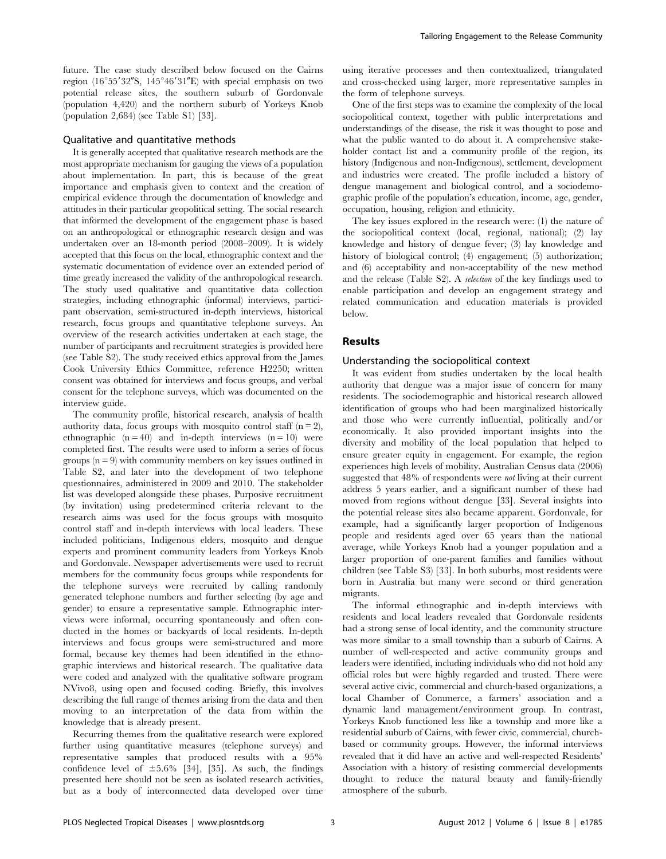future. The case study described below focused on the Cairns region  $(16°55'32''S, 145°46'31''E)$  with special emphasis on two potential release sites, the southern suburb of Gordonvale (population 4,420) and the northern suburb of Yorkeys Knob (population 2,684) (see Table S1) [33].

#### Qualitative and quantitative methods

It is generally accepted that qualitative research methods are the most appropriate mechanism for gauging the views of a population about implementation. In part, this is because of the great importance and emphasis given to context and the creation of empirical evidence through the documentation of knowledge and attitudes in their particular geopolitical setting. The social research that informed the development of the engagement phase is based on an anthropological or ethnographic research design and was undertaken over an 18-month period (2008–2009). It is widely accepted that this focus on the local, ethnographic context and the systematic documentation of evidence over an extended period of time greatly increased the validity of the anthropological research. The study used qualitative and quantitative data collection strategies, including ethnographic (informal) interviews, participant observation, semi-structured in-depth interviews, historical research, focus groups and quantitative telephone surveys. An overview of the research activities undertaken at each stage, the number of participants and recruitment strategies is provided here (see Table S2). The study received ethics approval from the James Cook University Ethics Committee, reference H2250; written consent was obtained for interviews and focus groups, and verbal consent for the telephone surveys, which was documented on the interview guide.

The community profile, historical research, analysis of health authority data, focus groups with mosquito control staff  $(n = 2)$ , ethnographic  $(n = 40)$  and in-depth interviews  $(n = 10)$  were completed first. The results were used to inform a series of focus groups  $(n = 9)$  with community members on key issues outlined in Table S2, and later into the development of two telephone questionnaires, administered in 2009 and 2010. The stakeholder list was developed alongside these phases. Purposive recruitment (by invitation) using predetermined criteria relevant to the research aims was used for the focus groups with mosquito control staff and in-depth interviews with local leaders. These included politicians, Indigenous elders, mosquito and dengue experts and prominent community leaders from Yorkeys Knob and Gordonvale. Newspaper advertisements were used to recruit members for the community focus groups while respondents for the telephone surveys were recruited by calling randomly generated telephone numbers and further selecting (by age and gender) to ensure a representative sample. Ethnographic interviews were informal, occurring spontaneously and often conducted in the homes or backyards of local residents. In-depth interviews and focus groups were semi-structured and more formal, because key themes had been identified in the ethnographic interviews and historical research. The qualitative data were coded and analyzed with the qualitative software program NVivo8, using open and focused coding. Briefly, this involves describing the full range of themes arising from the data and then moving to an interpretation of the data from within the knowledge that is already present.

Recurring themes from the qualitative research were explored further using quantitative measures (telephone surveys) and representative samples that produced results with a 95% confidence level of  $\pm 5.6\%$  [34], [35]. As such, the findings presented here should not be seen as isolated research activities, but as a body of interconnected data developed over time using iterative processes and then contextualized, triangulated and cross-checked using larger, more representative samples in the form of telephone surveys.

One of the first steps was to examine the complexity of the local sociopolitical context, together with public interpretations and understandings of the disease, the risk it was thought to pose and what the public wanted to do about it. A comprehensive stakeholder contact list and a community profile of the region, its history (Indigenous and non-Indigenous), settlement, development and industries were created. The profile included a history of dengue management and biological control, and a sociodemographic profile of the population's education, income, age, gender, occupation, housing, religion and ethnicity.

The key issues explored in the research were: (1) the nature of the sociopolitical context (local, regional, national); (2) lay knowledge and history of dengue fever; (3) lay knowledge and history of biological control; (4) engagement; (5) authorization; and (6) acceptability and non-acceptability of the new method and the release (Table S2). A selection of the key findings used to enable participation and develop an engagement strategy and related communication and education materials is provided below.

#### Results

#### Understanding the sociopolitical context

It was evident from studies undertaken by the local health authority that dengue was a major issue of concern for many residents. The sociodemographic and historical research allowed identification of groups who had been marginalized historically and those who were currently influential, politically and/or economically. It also provided important insights into the diversity and mobility of the local population that helped to ensure greater equity in engagement. For example, the region experiences high levels of mobility. Australian Census data (2006) suggested that 48% of respondents were not living at their current address 5 years earlier, and a significant number of these had moved from regions without dengue [33]. Several insights into the potential release sites also became apparent. Gordonvale, for example, had a significantly larger proportion of Indigenous people and residents aged over 65 years than the national average, while Yorkeys Knob had a younger population and a larger proportion of one-parent families and families without children (see Table S3) [33]. In both suburbs, most residents were born in Australia but many were second or third generation migrants.

The informal ethnographic and in-depth interviews with residents and local leaders revealed that Gordonvale residents had a strong sense of local identity, and the community structure was more similar to a small township than a suburb of Cairns. A number of well-respected and active community groups and leaders were identified, including individuals who did not hold any official roles but were highly regarded and trusted. There were several active civic, commercial and church-based organizations, a local Chamber of Commerce, a farmers' association and a dynamic land management/environment group. In contrast, Yorkeys Knob functioned less like a township and more like a residential suburb of Cairns, with fewer civic, commercial, churchbased or community groups. However, the informal interviews revealed that it did have an active and well-respected Residents' Association with a history of resisting commercial developments thought to reduce the natural beauty and family-friendly atmosphere of the suburb.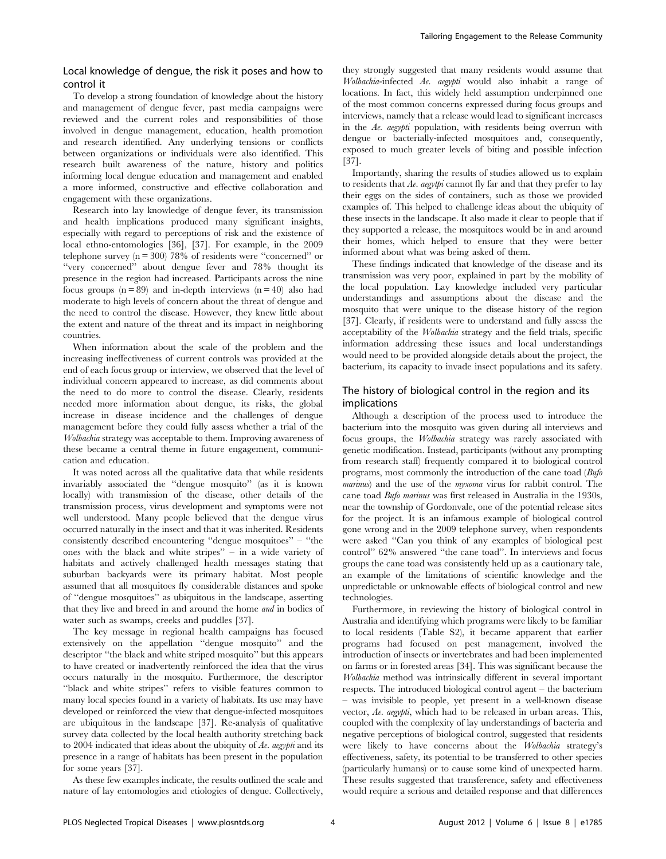# Local knowledge of dengue, the risk it poses and how to control it

To develop a strong foundation of knowledge about the history and management of dengue fever, past media campaigns were reviewed and the current roles and responsibilities of those involved in dengue management, education, health promotion and research identified. Any underlying tensions or conflicts between organizations or individuals were also identified. This research built awareness of the nature, history and politics informing local dengue education and management and enabled a more informed, constructive and effective collaboration and engagement with these organizations.

Research into lay knowledge of dengue fever, its transmission and health implications produced many significant insights, especially with regard to perceptions of risk and the existence of local ethno-entomologies [36], [37]. For example, in the 2009 telephone survey ( $n = 300$ ) 78% of residents were "concerned" or ''very concerned'' about dengue fever and 78% thought its presence in the region had increased. Participants across the nine focus groups  $(n = 89)$  and in-depth interviews  $(n = 40)$  also had moderate to high levels of concern about the threat of dengue and the need to control the disease. However, they knew little about the extent and nature of the threat and its impact in neighboring countries.

When information about the scale of the problem and the increasing ineffectiveness of current controls was provided at the end of each focus group or interview, we observed that the level of individual concern appeared to increase, as did comments about the need to do more to control the disease. Clearly, residents needed more information about dengue, its risks, the global increase in disease incidence and the challenges of dengue management before they could fully assess whether a trial of the Wolbachia strategy was acceptable to them. Improving awareness of these became a central theme in future engagement, communication and education.

It was noted across all the qualitative data that while residents invariably associated the ''dengue mosquito'' (as it is known locally) with transmission of the disease, other details of the transmission process, virus development and symptoms were not well understood. Many people believed that the dengue virus occurred naturally in the insect and that it was inherited. Residents consistently described encountering ''dengue mosquitoes'' – ''the ones with the black and white stripes'' – in a wide variety of habitats and actively challenged health messages stating that suburban backyards were its primary habitat. Most people assumed that all mosquitoes fly considerable distances and spoke of ''dengue mosquitoes'' as ubiquitous in the landscape, asserting that they live and breed in and around the home and in bodies of water such as swamps, creeks and puddles [37].

The key message in regional health campaigns has focused extensively on the appellation ''dengue mosquito'' and the descriptor ''the black and white striped mosquito'' but this appears to have created or inadvertently reinforced the idea that the virus occurs naturally in the mosquito. Furthermore, the descriptor ''black and white stripes'' refers to visible features common to many local species found in a variety of habitats. Its use may have developed or reinforced the view that dengue-infected mosquitoes are ubiquitous in the landscape [37]. Re-analysis of qualitative survey data collected by the local health authority stretching back to 2004 indicated that ideas about the ubiquity of  $Ae$ . aegypti and its presence in a range of habitats has been present in the population for some years [37].

As these few examples indicate, the results outlined the scale and nature of lay entomologies and etiologies of dengue. Collectively, they strongly suggested that many residents would assume that Wolbachia-infected Ae. aegypti would also inhabit a range of locations. In fact, this widely held assumption underpinned one of the most common concerns expressed during focus groups and interviews, namely that a release would lead to significant increases in the Ae. aegypti population, with residents being overrun with dengue or bacterially-infected mosquitoes and, consequently, exposed to much greater levels of biting and possible infection [37].

Importantly, sharing the results of studies allowed us to explain to residents that  $Ae$ . aegytpi cannot fly far and that they prefer to lay their eggs on the sides of containers, such as those we provided examples of. This helped to challenge ideas about the ubiquity of these insects in the landscape. It also made it clear to people that if they supported a release, the mosquitoes would be in and around their homes, which helped to ensure that they were better informed about what was being asked of them.

These findings indicated that knowledge of the disease and its transmission was very poor, explained in part by the mobility of the local population. Lay knowledge included very particular understandings and assumptions about the disease and the mosquito that were unique to the disease history of the region [37]. Clearly, if residents were to understand and fully assess the acceptability of the Wolbachia strategy and the field trials, specific information addressing these issues and local understandings would need to be provided alongside details about the project, the bacterium, its capacity to invade insect populations and its safety.

# The history of biological control in the region and its implications

Although a description of the process used to introduce the bacterium into the mosquito was given during all interviews and focus groups, the Wolbachia strategy was rarely associated with genetic modification. Instead, participants (without any prompting from research staff) frequently compared it to biological control programs, most commonly the introduction of the cane toad (Bufo marinus) and the use of the myxoma virus for rabbit control. The cane toad Bufo marinus was first released in Australia in the 1930s, near the township of Gordonvale, one of the potential release sites for the project. It is an infamous example of biological control gone wrong and in the 2009 telephone survey, when respondents were asked ''Can you think of any examples of biological pest control'' 62% answered ''the cane toad''. In interviews and focus groups the cane toad was consistently held up as a cautionary tale, an example of the limitations of scientific knowledge and the unpredictable or unknowable effects of biological control and new technologies.

Furthermore, in reviewing the history of biological control in Australia and identifying which programs were likely to be familiar to local residents (Table S2), it became apparent that earlier programs had focused on pest management, involved the introduction of insects or invertebrates and had been implemented on farms or in forested areas [34]. This was significant because the Wolbachia method was intrinsically different in several important respects. The introduced biological control agent – the bacterium – was invisible to people, yet present in a well-known disease vector, Ae. aegypti, which had to be released in urban areas. This, coupled with the complexity of lay understandings of bacteria and negative perceptions of biological control, suggested that residents were likely to have concerns about the Wolbachia strategy's effectiveness, safety, its potential to be transferred to other species (particularly humans) or to cause some kind of unexpected harm. These results suggested that transference, safety and effectiveness would require a serious and detailed response and that differences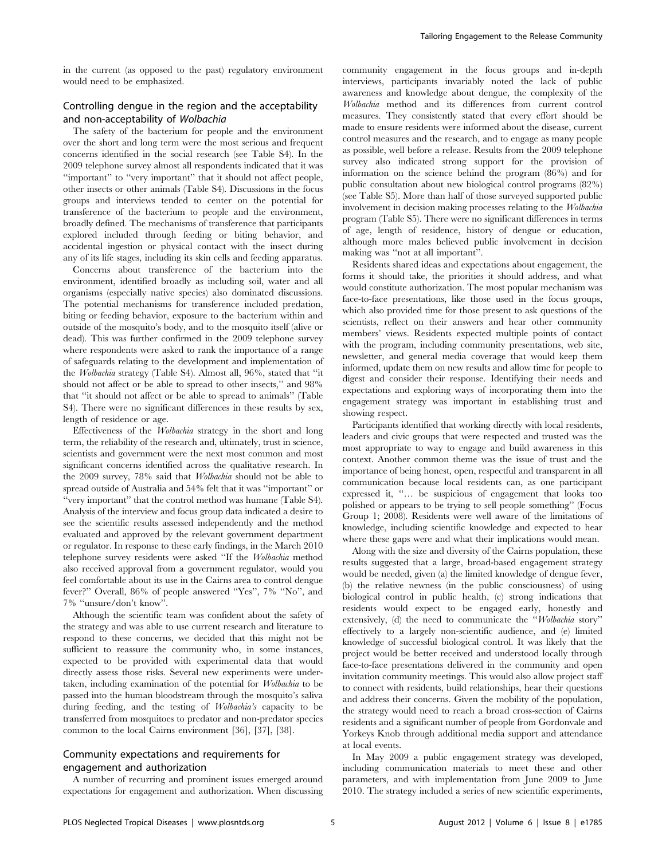in the current (as opposed to the past) regulatory environment would need to be emphasized.

# Controlling dengue in the region and the acceptability and non-acceptability of Wolbachia

The safety of the bacterium for people and the environment over the short and long term were the most serious and frequent concerns identified in the social research (see Table S4). In the 2009 telephone survey almost all respondents indicated that it was ''important'' to ''very important'' that it should not affect people, other insects or other animals (Table S4). Discussions in the focus groups and interviews tended to center on the potential for transference of the bacterium to people and the environment, broadly defined. The mechanisms of transference that participants explored included through feeding or biting behavior, and accidental ingestion or physical contact with the insect during any of its life stages, including its skin cells and feeding apparatus.

Concerns about transference of the bacterium into the environment, identified broadly as including soil, water and all organisms (especially native species) also dominated discussions. The potential mechanisms for transference included predation, biting or feeding behavior, exposure to the bacterium within and outside of the mosquito's body, and to the mosquito itself (alive or dead). This was further confirmed in the 2009 telephone survey where respondents were asked to rank the importance of a range of safeguards relating to the development and implementation of the Wolbachia strategy (Table S4). Almost all, 96%, stated that ''it should not affect or be able to spread to other insects,'' and 98% that ''it should not affect or be able to spread to animals'' (Table S4). There were no significant differences in these results by sex, length of residence or age.

Effectiveness of the Wolbachia strategy in the short and long term, the reliability of the research and, ultimately, trust in science, scientists and government were the next most common and most significant concerns identified across the qualitative research. In the 2009 survey, 78% said that Wolbachia should not be able to spread outside of Australia and 54% felt that it was ''important'' or ''very important'' that the control method was humane (Table S4). Analysis of the interview and focus group data indicated a desire to see the scientific results assessed independently and the method evaluated and approved by the relevant government department or regulator. In response to these early findings, in the March 2010 telephone survey residents were asked ''If the Wolbachia method also received approval from a government regulator, would you feel comfortable about its use in the Cairns area to control dengue fever?'' Overall, 86% of people answered ''Yes'', 7% ''No'', and 7% ''unsure/don't know''.

Although the scientific team was confident about the safety of the strategy and was able to use current research and literature to respond to these concerns, we decided that this might not be sufficient to reassure the community who, in some instances, expected to be provided with experimental data that would directly assess those risks. Several new experiments were undertaken, including examination of the potential for Wolbachia to be passed into the human bloodstream through the mosquito's saliva during feeding, and the testing of Wolbachia's capacity to be transferred from mosquitoes to predator and non-predator species common to the local Cairns environment [36], [37], [38].

## Community expectations and requirements for engagement and authorization

A number of recurring and prominent issues emerged around expectations for engagement and authorization. When discussing community engagement in the focus groups and in-depth interviews, participants invariably noted the lack of public awareness and knowledge about dengue, the complexity of the Wolbachia method and its differences from current control measures. They consistently stated that every effort should be made to ensure residents were informed about the disease, current control measures and the research, and to engage as many people as possible, well before a release. Results from the 2009 telephone survey also indicated strong support for the provision of information on the science behind the program (86%) and for public consultation about new biological control programs (82%) (see Table S5). More than half of those surveyed supported public involvement in decision making processes relating to the Wolbachia program (Table S5). There were no significant differences in terms of age, length of residence, history of dengue or education, although more males believed public involvement in decision making was ''not at all important''.

Residents shared ideas and expectations about engagement, the forms it should take, the priorities it should address, and what would constitute authorization. The most popular mechanism was face-to-face presentations, like those used in the focus groups, which also provided time for those present to ask questions of the scientists, reflect on their answers and hear other community members' views. Residents expected multiple points of contact with the program, including community presentations, web site, newsletter, and general media coverage that would keep them informed, update them on new results and allow time for people to digest and consider their response. Identifying their needs and expectations and exploring ways of incorporating them into the engagement strategy was important in establishing trust and showing respect.

Participants identified that working directly with local residents, leaders and civic groups that were respected and trusted was the most appropriate to way to engage and build awareness in this context. Another common theme was the issue of trust and the importance of being honest, open, respectful and transparent in all communication because local residents can, as one participant expressed it, ''… be suspicious of engagement that looks too polished or appears to be trying to sell people something'' (Focus Group 1; 2008). Residents were well aware of the limitations of knowledge, including scientific knowledge and expected to hear where these gaps were and what their implications would mean.

Along with the size and diversity of the Cairns population, these results suggested that a large, broad-based engagement strategy would be needed, given (a) the limited knowledge of dengue fever, (b) the relative newness (in the public consciousness) of using biological control in public health, (c) strong indications that residents would expect to be engaged early, honestly and extensively, (d) the need to communicate the ''Wolbachia story'' effectively to a largely non-scientific audience, and (e) limited knowledge of successful biological control. It was likely that the project would be better received and understood locally through face-to-face presentations delivered in the community and open invitation community meetings. This would also allow project staff to connect with residents, build relationships, hear their questions and address their concerns. Given the mobility of the population, the strategy would need to reach a broad cross-section of Cairns residents and a significant number of people from Gordonvale and Yorkeys Knob through additional media support and attendance at local events.

In May 2009 a public engagement strategy was developed, including communication materials to meet these and other parameters, and with implementation from June 2009 to June 2010. The strategy included a series of new scientific experiments,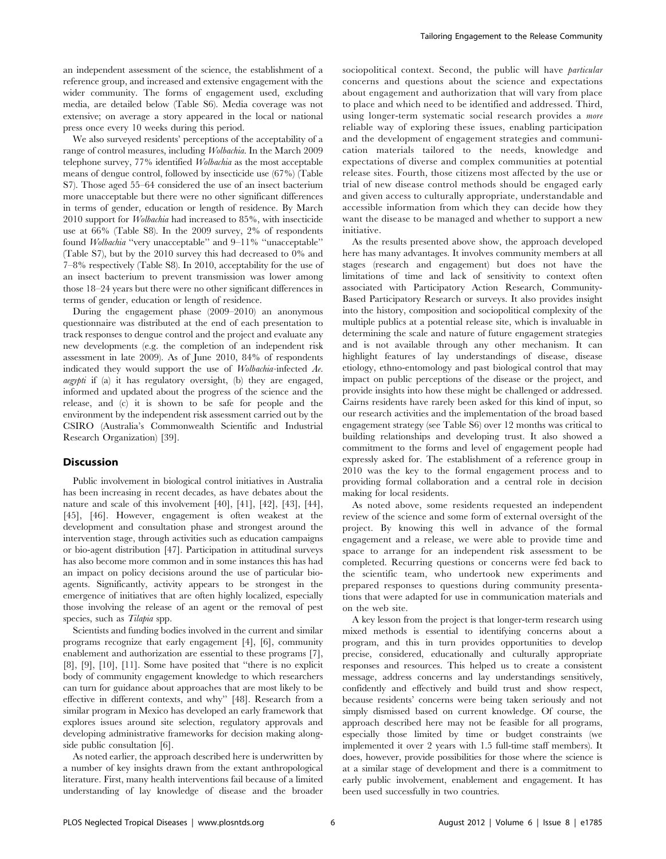an independent assessment of the science, the establishment of a reference group, and increased and extensive engagement with the wider community. The forms of engagement used, excluding media, are detailed below (Table S6). Media coverage was not extensive; on average a story appeared in the local or national press once every 10 weeks during this period.

We also surveyed residents' perceptions of the acceptability of a range of control measures, including Wolbachia. In the March 2009 telephone survey, 77% identified Wolbachia as the most acceptable means of dengue control, followed by insecticide use (67%) (Table S7). Those aged 55–64 considered the use of an insect bacterium more unacceptable but there were no other significant differences in terms of gender, education or length of residence. By March 2010 support for Wolbachia had increased to 85%, with insecticide use at 66% (Table S8). In the 2009 survey, 2% of respondents found Wolbachia ''very unacceptable'' and 9–11% ''unacceptable'' (Table S7), but by the 2010 survey this had decreased to 0% and 7–8% respectively (Table S8). In 2010, acceptability for the use of an insect bacterium to prevent transmission was lower among those 18–24 years but there were no other significant differences in terms of gender, education or length of residence.

During the engagement phase (2009–2010) an anonymous questionnaire was distributed at the end of each presentation to track responses to dengue control and the project and evaluate any new developments (e.g. the completion of an independent risk assessment in late 2009). As of June 2010, 84% of respondents indicated they would support the use of Wolbachia-infected Ae. aegypti if (a) it has regulatory oversight, (b) they are engaged, informed and updated about the progress of the science and the release, and (c) it is shown to be safe for people and the environment by the independent risk assessment carried out by the CSIRO (Australia's Commonwealth Scientific and Industrial Research Organization) [39].

### Discussion

Public involvement in biological control initiatives in Australia has been increasing in recent decades, as have debates about the nature and scale of this involvement [40], [41], [42], [43], [44], [45], [46]. However, engagement is often weakest at the development and consultation phase and strongest around the intervention stage, through activities such as education campaigns or bio-agent distribution [47]. Participation in attitudinal surveys has also become more common and in some instances this has had an impact on policy decisions around the use of particular bioagents. Significantly, activity appears to be strongest in the emergence of initiatives that are often highly localized, especially those involving the release of an agent or the removal of pest species, such as *Tilapia* spp.

Scientists and funding bodies involved in the current and similar programs recognize that early engagement [4], [6], community enablement and authorization are essential to these programs [7], [8], [9], [10], [11]. Some have posited that "there is no explicit body of community engagement knowledge to which researchers can turn for guidance about approaches that are most likely to be effective in different contexts, and why'' [48]. Research from a similar program in Mexico has developed an early framework that explores issues around site selection, regulatory approvals and developing administrative frameworks for decision making alongside public consultation [6].

As noted earlier, the approach described here is underwritten by a number of key insights drawn from the extant anthropological literature. First, many health interventions fail because of a limited understanding of lay knowledge of disease and the broader

sociopolitical context. Second, the public will have *particular* concerns and questions about the science and expectations about engagement and authorization that will vary from place to place and which need to be identified and addressed. Third, using longer-term systematic social research provides a more reliable way of exploring these issues, enabling participation and the development of engagement strategies and communication materials tailored to the needs, knowledge and expectations of diverse and complex communities at potential release sites. Fourth, those citizens most affected by the use or trial of new disease control methods should be engaged early and given access to culturally appropriate, understandable and accessible information from which they can decide how they want the disease to be managed and whether to support a new initiative.

As the results presented above show, the approach developed here has many advantages. It involves community members at all stages (research and engagement) but does not have the limitations of time and lack of sensitivity to context often associated with Participatory Action Research, Community-Based Participatory Research or surveys. It also provides insight into the history, composition and sociopolitical complexity of the multiple publics at a potential release site, which is invaluable in determining the scale and nature of future engagement strategies and is not available through any other mechanism. It can highlight features of lay understandings of disease, disease etiology, ethno-entomology and past biological control that may impact on public perceptions of the disease or the project, and provide insights into how these might be challenged or addressed. Cairns residents have rarely been asked for this kind of input, so our research activities and the implementation of the broad based engagement strategy (see Table S6) over 12 months was critical to building relationships and developing trust. It also showed a commitment to the forms and level of engagement people had expressly asked for. The establishment of a reference group in 2010 was the key to the formal engagement process and to providing formal collaboration and a central role in decision making for local residents.

As noted above, some residents requested an independent review of the science and some form of external oversight of the project. By knowing this well in advance of the formal engagement and a release, we were able to provide time and space to arrange for an independent risk assessment to be completed. Recurring questions or concerns were fed back to the scientific team, who undertook new experiments and prepared responses to questions during community presentations that were adapted for use in communication materials and on the web site.

A key lesson from the project is that longer-term research using mixed methods is essential to identifying concerns about a program, and this in turn provides opportunities to develop precise, considered, educationally and culturally appropriate responses and resources. This helped us to create a consistent message, address concerns and lay understandings sensitively, confidently and effectively and build trust and show respect, because residents' concerns were being taken seriously and not simply dismissed based on current knowledge. Of course, the approach described here may not be feasible for all programs, especially those limited by time or budget constraints (we implemented it over 2 years with 1.5 full-time staff members). It does, however, provide possibilities for those where the science is at a similar stage of development and there is a commitment to early public involvement, enablement and engagement. It has been used successfully in two countries.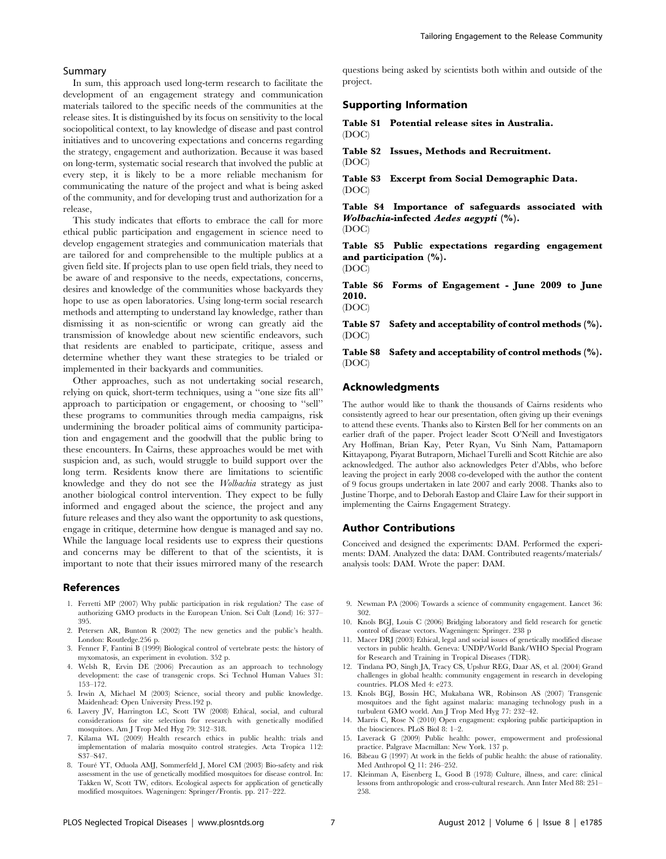#### Summary

In sum, this approach used long-term research to facilitate the development of an engagement strategy and communication materials tailored to the specific needs of the communities at the release sites. It is distinguished by its focus on sensitivity to the local sociopolitical context, to lay knowledge of disease and past control initiatives and to uncovering expectations and concerns regarding the strategy, engagement and authorization. Because it was based on long-term, systematic social research that involved the public at every step, it is likely to be a more reliable mechanism for communicating the nature of the project and what is being asked of the community, and for developing trust and authorization for a release,

This study indicates that efforts to embrace the call for more ethical public participation and engagement in science need to develop engagement strategies and communication materials that are tailored for and comprehensible to the multiple publics at a given field site. If projects plan to use open field trials, they need to be aware of and responsive to the needs, expectations, concerns, desires and knowledge of the communities whose backyards they hope to use as open laboratories. Using long-term social research methods and attempting to understand lay knowledge, rather than dismissing it as non-scientific or wrong can greatly aid the transmission of knowledge about new scientific endeavors, such that residents are enabled to participate, critique, assess and determine whether they want these strategies to be trialed or implemented in their backyards and communities.

Other approaches, such as not undertaking social research, relying on quick, short-term techniques, using a ''one size fits all'' approach to participation or engagement, or choosing to ''sell'' these programs to communities through media campaigns, risk undermining the broader political aims of community participation and engagement and the goodwill that the public bring to these encounters. In Cairns, these approaches would be met with suspicion and, as such, would struggle to build support over the long term. Residents know there are limitations to scientific knowledge and they do not see the Wolbachia strategy as just another biological control intervention. They expect to be fully informed and engaged about the science, the project and any future releases and they also want the opportunity to ask questions, engage in critique, determine how dengue is managed and say no. While the language local residents use to express their questions and concerns may be different to that of the scientists, it is important to note that their issues mirrored many of the research

#### References

- 1. Ferretti MP (2007) Why public participation in risk regulation? The case of authorizing GMO products in the European Union. Sci Cult (Lond) 16: 377– 395.
- 2. Petersen AR, Bunton R (2002) The new genetics and the public's health. London: Routledge.256 p.
- 3. Fenner F, Fantini B (1999) Biological control of vertebrate pests: the history of myxomatosis, an experiment in evolution. 352 p.
- 4. Welsh R, Ervin DE (2006) Precaution as an approach to technology development: the case of transgenic crops. Sci Technol Human Values 31: 153–172.
- 5. Irwin A, Michael M (2003) Science, social theory and public knowledge. Maidenhead: Open University Press.192 p.
- 6. Lavery JV, Harrington LC, Scott TW (2008) Ethical, social, and cultural considerations for site selection for research with genetically modified mosquitoes. Am J Trop Med Hyg 79: 312–318.
- 7. Kilama WL (2009) Health research ethics in public health: trials and implementation of malaria mosquito control strategies. Acta Tropica 112: S37–S47.
- 8. Touré YT, Oduola AMJ, Sommerfeld J, Morel CM (2003) Bio-safety and risk assessment in the use of genetically modified mosquitoes for disease control. In: Takken W, Scott TW, editors. Ecological aspects for application of genetically modified mosquitoes. Wageningen: Springer/Frontis. pp. 217–222.

questions being asked by scientists both within and outside of the project.

## Supporting Information

Table S1 Potential release sites in Australia. (DOC)

Table S2 Issues, Methods and Recruitment. (DOC)

Table S3 Excerpt from Social Demographic Data. (DOC)

Table S4 Importance of safeguards associated with Wolbachia-infected Aedes aegypti (%). (DOC)

Table S5 Public expectations regarding engagement and participation (%). (DOC)

Table S6 Forms of Engagement - June 2009 to June 2010.

(DOC)

Table S7 Safety and acceptability of control methods (%). (DOC)

Table S8 Safety and acceptability of control methods (%). (DOC)

### Acknowledgments

The author would like to thank the thousands of Cairns residents who consistently agreed to hear our presentation, often giving up their evenings to attend these events. Thanks also to Kirsten Bell for her comments on an earlier draft of the paper. Project leader Scott O'Neill and Investigators Ary Hoffman, Brian Kay, Peter Ryan, Vu Sinh Nam, Pattamaporn Kittayapong, Piyarat Butraporn, Michael Turelli and Scott Ritchie are also acknowledged. The author also acknowledges Peter d'Abbs, who before leaving the project in early 2008 co-developed with the author the content of 9 focus groups undertaken in late 2007 and early 2008. Thanks also to Justine Thorpe, and to Deborah Eastop and Claire Law for their support in implementing the Cairns Engagement Strategy.

#### Author Contributions

Conceived and designed the experiments: DAM. Performed the experiments: DAM. Analyzed the data: DAM. Contributed reagents/materials/ analysis tools: DAM. Wrote the paper: DAM.

- 9. Newman PA (2006) Towards a science of community engagement. Lancet 36: 302.
- 10. Knols BGJ, Louis C (2006) Bridging laboratory and field research for genetic control of disease vectors. Wageningen: Springer. 238 p
- 11. Macer DRJ (2003) Ethical, legal and social issues of genetically modified disease vectors in public health. Geneva: UNDP/World Bank/WHO Special Program for Research and Training in Tropical Diseases (TDR).
- 12. Tindana PO, Singh JA, Tracy CS, Upshur REG, Daar AS, et al. (2004) Grand challenges in global health: community engagement in research in developing countries. PLOS Med 4: e273.
- 13. Knols BGJ, Bossin HC, Mukabana WR, Robinson AS (2007) Transgenic mosquitoes and the fight against malaria: managing technology push in a turbulent GMO world. Am J Trop Med Hyg 77: 232–42.
- 14. Marris C, Rose N (2010) Open engagment: exploring public participaption in the biosciences. PLoS Biol 8: 1–2.
- 15. Laverack G (2009) Public health: power, empowerment and professional practice. Palgrave Macmillan: New York. 137 p.
- 16. Bibeau G (1997) At work in the fields of public health: the abuse of rationality. Med Anthropol Q 11: 246–252.
- 17. Kleinman A, Eisenberg L, Good B (1978) Culture, illness, and care: clinical lessons from anthropologic and cross-cultural research. Ann Inter Med 88: 251– 258.